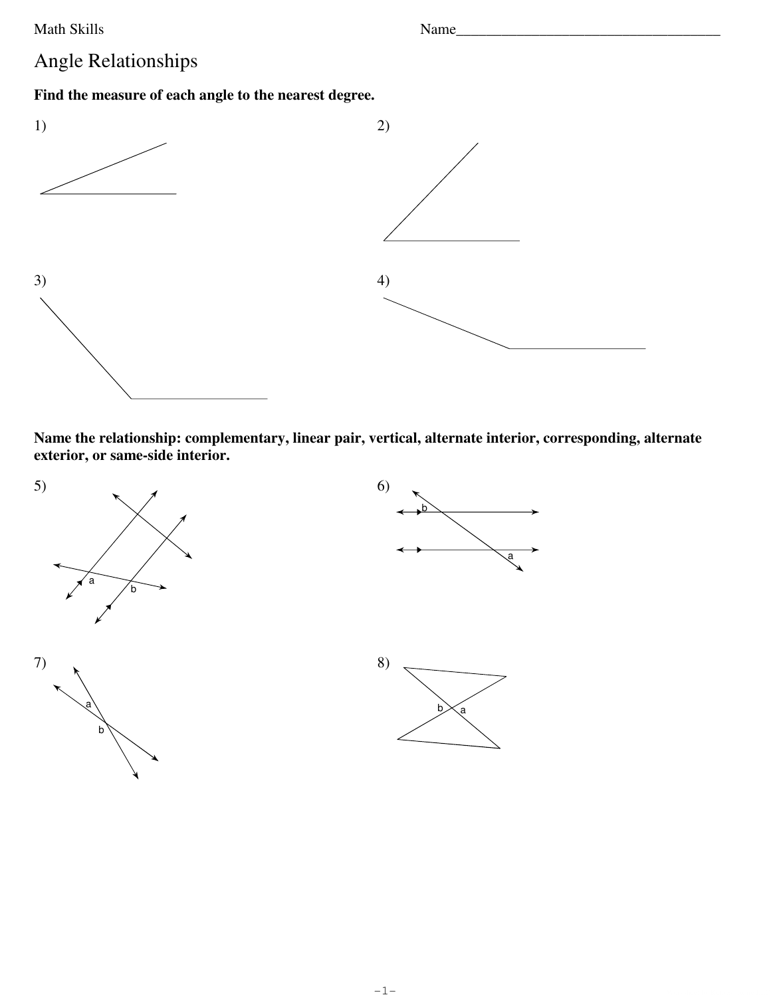Math Skills

Name

## Angle Relationships

Find the measure of each angle to the nearest degree.



Name the relationship: complementary, linear pair, vertical, alternate interior, corresponding, alternate exterior, or same-side interior.

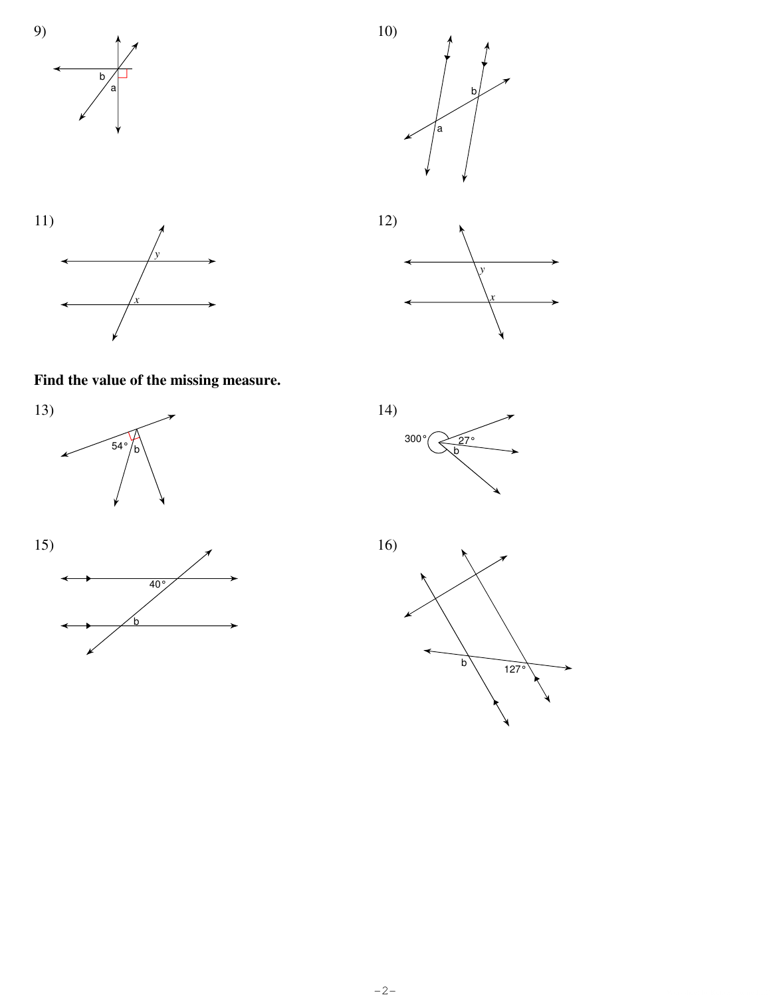







Find the value of the missing measure.







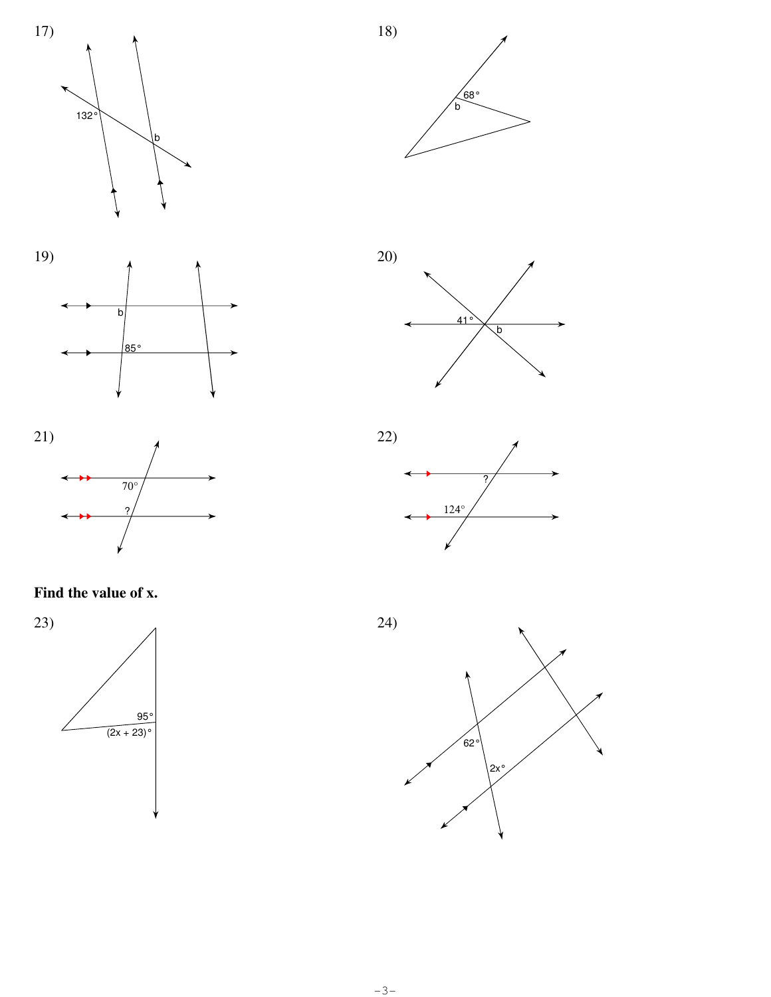





Find the value of x.